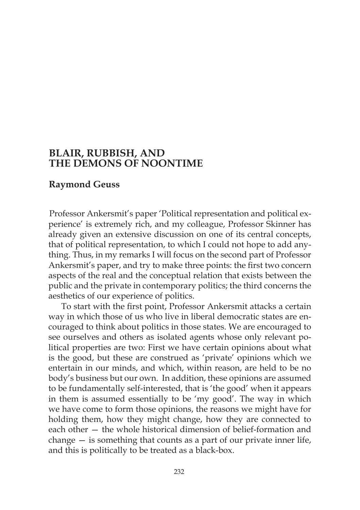# **BLAIR, RUBBISH, AND THE DEMONS OF NOONTIME**

## **Raymond Geuss**

Professor Ankersmit's paper 'Political representation and political experience' is extremely rich, and my colleague, Professor Skinner has already given an extensive discussion on one of its central concepts, that of political representation, to which I could not hope to add anything. Thus, in my remarks I will focus on the second part of Professor Ankersmit's paper, and try to make three points: the first two concern aspects of the real and the conceptual relation that exists between the public and the private in contemporary politics; the third concerns the aesthetics of our experience of politics.

To start with the first point, Professor Ankersmit attacks a certain way in which those of us who live in liberal democratic states are encouraged to think about politics in those states. We are encouraged to see ourselves and others as isolated agents whose only relevant political properties are two: First we have certain opinions about what is the good, but these are construed as 'private' opinions which we entertain in our minds, and which, within reason, are held to be no body's business but our own. In addition, these opinions are assumed to be fundamentally self-interested, that is 'the good' when it appears in them is assumed essentially to be 'my good'. The way in which we have come to form those opinions, the reasons we might have for holding them, how they might change, how they are connected to each other — the whole historical dimension of belief-formation and change — is something that counts as a part of our private inner life, and this is politically to be treated as a black-box.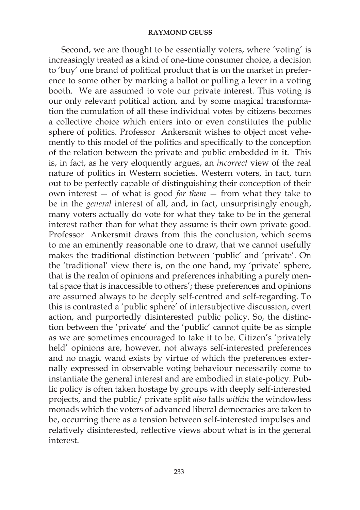Second, we are thought to be essentially voters, where 'voting' is increasingly treated as a kind of one-time consumer choice, a decision to 'buy' one brand of political product that is on the market in preference to some other by marking a ballot or pulling a lever in a voting booth. We are assumed to vote our private interest. This voting is our only relevant political action, and by some magical transformation the cumulation of all these individual votes by citizens becomes a collective choice which enters into or even constitutes the public sphere of politics. Professor Ankersmit wishes to object most vehemently to this model of the politics and specifically to the conception of the relation between the private and public embedded in it. This is, in fact, as he very eloquently argues, an *incorrect* view of the real nature of politics in Western societies. Western voters, in fact, turn out to be perfectly capable of distinguishing their conception of their own interest — of what is good *for them* — from what they take to be in the *general* interest of all, and, in fact, unsurprisingly enough, many voters actually do vote for what they take to be in the general interest rather than for what they assume is their own private good. Professor Ankersmit draws from this the conclusion, which seems to me an eminently reasonable one to draw, that we cannot usefully makes the traditional distinction between 'public' and 'private'. On the 'traditional' view there is, on the one hand, my 'private' sphere, that is the realm of opinions and preferences inhabiting a purely mental space that is inaccessible to others'; these preferences and opinions are assumed always to be deeply self-centred and self-regarding. To this is contrasted a 'public sphere' of intersubjective discussion, overt action, and purportedly disinterested public policy. So, the distinction between the 'private' and the 'public' cannot quite be as simple as we are sometimes encouraged to take it to be. Citizen's 'privately held' opinions are, however, not always self-interested preferences and no magic wand exists by virtue of which the preferences externally expressed in observable voting behaviour necessarily come to instantiate the general interest and are embodied in state-policy. Public policy is often taken hostage by groups with deeply self-interested projects, and the public/ private split *also* falls *within* the windowless monads which the voters of advanced liberal democracies are taken to be, occurring there as a tension between self-interested impulses and relatively disinterested, reflective views about what is in the general interest.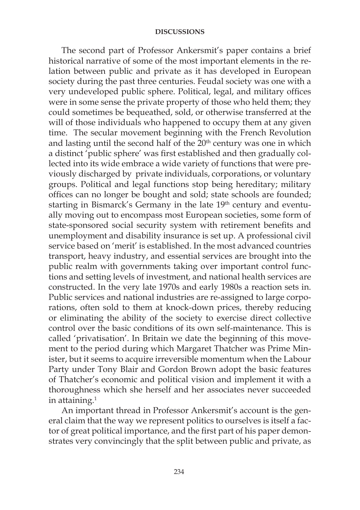The second part of Professor Ankersmit's paper contains a brief historical narrative of some of the most important elements in the relation between public and private as it has developed in European society during the past three centuries. Feudal society was one with a very undeveloped public sphere. Political, legal, and military offices were in some sense the private property of those who held them; they could sometimes be bequeathed, sold, or otherwise transferred at the will of those individuals who happened to occupy them at any given time. The secular movement beginning with the French Revolution and lasting until the second half of the 20<sup>th</sup> century was one in which a distinct 'public sphere' was first established and then gradually collected into its wide embrace a wide variety of functions that were previously discharged by private individuals, corporations, or voluntary groups. Political and legal functions stop being hereditary; military offices can no longer be bought and sold; state schools are founded; starting in Bismarck's Germany in the late 19<sup>th</sup> century and eventually moving out to encompass most European societies, some form of state-sponsored social security system with retirement benefits and unemployment and disability insurance is set up. A professional civil service based on 'merit' is established. In the most advanced countries transport, heavy industry, and essential services are brought into the public realm with governments taking over important control functions and setting levels of investment, and national health services are constructed. In the very late 1970s and early 1980s a reaction sets in. Public services and national industries are re-assigned to large corporations, often sold to them at knock-down prices, thereby reducing or eliminating the ability of the society to exercise direct collective control over the basic conditions of its own self-maintenance. This is called 'privatisation'. In Britain we date the beginning of this movement to the period during which Margaret Thatcher was Prime Minister, but it seems to acquire irreversible momentum when the Labour Party under Tony Blair and Gordon Brown adopt the basic features of Thatcher's economic and political vision and implement it with a thoroughness which she herself and her associates never succeeded in attaining.<sup>1</sup>

An important thread in Professor Ankersmit's account is the general claim that the way we represent politics to ourselves is itself a factor of great political importance, and the first part of his paper demonstrates very convincingly that the split between public and private, as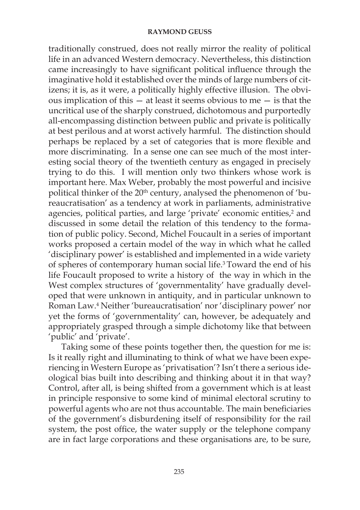traditionally construed, does not really mirror the reality of political life in an advanced Western democracy. Nevertheless, this distinction came increasingly to have significant political influence through the imaginative hold it established over the minds of large numbers of citizens; it is, as it were, a politically highly effective illusion. The obvious implication of this — at least it seems obvious to me — is that the uncritical use of the sharply construed, dichotomous and purportedly all-encompassing distinction between public and private is politically at best perilous and at worst actively harmful. The distinction should perhaps be replaced by a set of categories that is more flexible and more discriminating. In a sense one can see much of the most interesting social theory of the twentieth century as engaged in precisely trying to do this. I will mention only two thinkers whose work is important here. Max Weber, probably the most powerful and incisive political thinker of the 20<sup>th</sup> century, analysed the phenomenon of 'bureaucratisation' as a tendency at work in parliaments, administrative agencies, political parties, and large 'private' economic entities,<sup>2</sup> and discussed in some detail the relation of this tendency to the formation of public policy. Second, Michel Foucault in a series of important works proposed a certain model of the way in which what he called 'disciplinary power' is established and implemented in a wide variety of spheres of contemporary human social life.3 Toward the end of his life Foucault proposed to write a history of the way in which in the West complex structures of 'governmentality' have gradually developed that were unknown in antiquity, and in particular unknown to Roman Law.4 Neither 'bureaucratisation' nor 'disciplinary power' nor yet the forms of 'governmentality' can, however, be adequately and appropriately grasped through a simple dichotomy like that between 'public' and 'private'.

Taking some of these points together then, the question for me is: Is it really right and illuminating to think of what we have been experiencing in Western Europe as 'privatisation'? Isn't there a serious ideological bias built into describing and thinking about it in that way? Control, after all, is being shifted from a government which is at least in principle responsive to some kind of minimal electoral scrutiny to powerful agents who are not thus accountable. The main beneficiaries of the government's disburdening itself of responsibility for the rail system, the post office, the water supply or the telephone company are in fact large corporations and these organisations are, to be sure,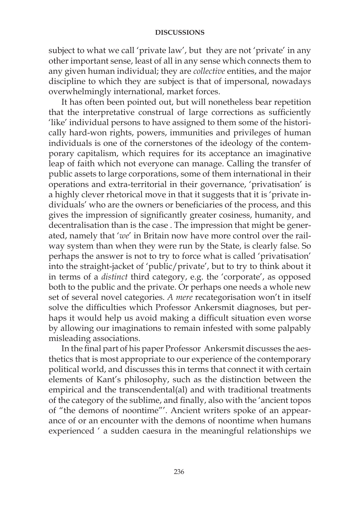subject to what we call 'private law', but they are not 'private' in any other important sense, least of all in any sense which connects them to any given human individual; they are *collective* entities, and the major discipline to which they are subject is that of impersonal, nowadays overwhelmingly international, market forces.

It has often been pointed out, but will nonetheless bear repetition that the interpretative construal of large corrections as sufficiently 'like' individual persons to have assigned to them some of the historically hard-won rights, powers, immunities and privileges of human individuals is one of the cornerstones of the ideology of the contemporary capitalism, which requires for its acceptance an imaginative leap of faith which not everyone can manage. Calling the transfer of public assets to large corporations, some of them international in their operations and extra-territorial in their governance, 'privatisation' is a highly clever rhetorical move in that it suggests that it is 'private individuals' who are the owners or beneficiaries of the process, and this gives the impression of significantly greater cosiness, humanity, and decentralisation than is the case . The impression that might be generated, namely that '*we*' in Britain now have more control over the railway system than when they were run by the State, is clearly false. So perhaps the answer is not to try to force what is called 'privatisation' into the straight-jacket of 'public/private', but to try to think about it in terms of a *distinct* third category, e.g. the 'corporate', as opposed both to the public and the private. Or perhaps one needs a whole new set of several novel categories. *A mere* recategorisation won't in itself solve the difficulties which Professor Ankersmit diagnoses, but perhaps it would help us avoid making a difficult situation even worse by allowing our imaginations to remain infested with some palpably misleading associations.

In the final part of his paper Professor Ankersmit discusses the aesthetics that is most appropriate to our experience of the contemporary political world, and discusses this in terms that connect it with certain elements of Kant's philosophy, such as the distinction between the empirical and the transcendental(al) and with traditional treatments of the category of the sublime, and finally, also with the 'ancient topos of "the demons of noontime"'. Ancient writers spoke of an appearance of or an encounter with the demons of noontime when humans experienced ' a sudden caesura in the meaningful relationships we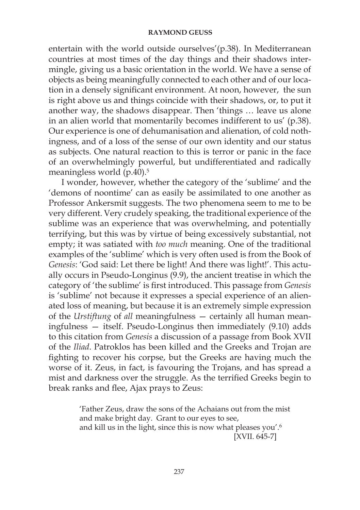entertain with the world outside ourselves'(p.38). In Mediterranean countries at most times of the day things and their shadows intermingle, giving us a basic orientation in the world. We have a sense of objects as being meaningfully connected to each other and of our location in a densely significant environment. At noon, however, the sun is right above us and things coincide with their shadows, or, to put it another way, the shadows disappear. Then 'things … leave us alone in an alien world that momentarily becomes indifferent to us' (p.38). Our experience is one of dehumanisation and alienation, of cold nothingness, and of a loss of the sense of our own identity and our status as subjects. One natural reaction to this is terror or panic in the face of an overwhelmingly powerful, but undifferentiated and radically meaningless world (p.40).5

I wonder, however, whether the category of the 'sublime' and the 'demons of noontime' can as easily be assimilated to one another as Professor Ankersmit suggests. The two phenomena seem to me to be very different. Very crudely speaking, the traditional experience of the sublime was an experience that was overwhelming, and potentially terrifying, but this was by virtue of being excessively substantial, not empty; it was satiated with *too much* meaning. One of the traditional examples of the 'sublime' which is very often used is from the Book of *Genesis*: 'God said: Let there be light! And there was light!'. This actually occurs in Pseudo-Longinus (9.9), the ancient treatise in which the category of 'the sublime' is first introduced. This passage from *Genesis* is 'sublime' not because it expresses a special experience of an alienated loss of meaning, but because it is an extremely simple expression of the *Urstiftung* of *all* meaningfulness — certainly all human meaningfulness — itself. Pseudo-Longinus then immediately (9.10) adds to this citation from *Genesis* a discussion of a passage from Book XVII of the *Iliad*. Patroklos has been killed and the Greeks and Trojan are fighting to recover his corpse, but the Greeks are having much the worse of it. Zeus, in fact, is favouring the Trojans, and has spread a mist and darkness over the struggle. As the terrified Greeks begin to break ranks and flee, Ajax prays to Zeus:

> 'Father Zeus, draw the sons of the Achaians out from the mist and make bright day. Grant to our eyes to see, and kill us in the light, since this is now what pleases you'.6 [XVII. 645-7]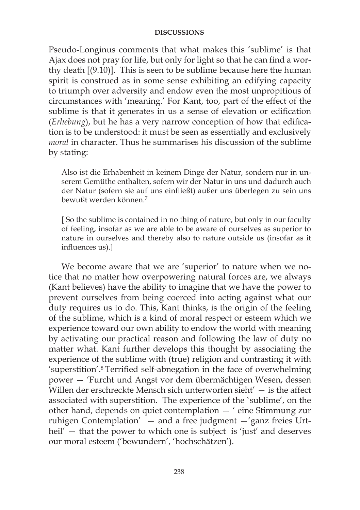Pseudo-Longinus comments that what makes this 'sublime' is that Ajax does not pray for life, but only for light so that he can find a worthy death [(9.10)]. This is seen to be sublime because here the human spirit is construed as in some sense exhibiting an edifying capacity to triumph over adversity and endow even the most unpropitious of circumstances with 'meaning.' For Kant, too, part of the effect of the sublime is that it generates in us a sense of elevation or edification (*Erhebung*), but he has a very narrow conception of how that edification is to be understood: it must be seen as essentially and exclusively *moral* in character. Thus he summarises his discussion of the sublime by stating:

Also ist die Erhabenheit in keinem Dinge der Natur, sondern nur in unserem Gemüthe enthalten, sofern wir der Natur in uns und dadurch auch der Natur (sofern sie auf uns einfließt) außer uns überlegen zu sein uns bewußt werden können.7

[ So the sublime is contained in no thing of nature, but only in our faculty of feeling, insofar as we are able to be aware of ourselves as superior to nature in ourselves and thereby also to nature outside us (insofar as it influences us).]

We become aware that we are 'superior' to nature when we notice that no matter how overpowering natural forces are, we always (Kant believes) have the ability to imagine that we have the power to prevent ourselves from being coerced into acting against what our duty requires us to do. This, Kant thinks, is the origin of the feeling of the sublime, which is a kind of moral respect or esteem which we experience toward our own ability to endow the world with meaning by activating our practical reason and following the law of duty no matter what. Kant further develops this thought by associating the experience of the sublime with (true) religion and contrasting it with 'superstition'.8 Terrified self-abnegation in the face of overwhelming power — 'Furcht und Angst vor dem übermächtigen Wesen, dessen Willen der erschreckte Mensch sich unterworfen sieht' - is the affect associated with superstition. The experience of the `sublime', on the other hand, depends on quiet contemplation — ' eine Stimmung zur ruhigen Contemplation' — and a free judgment —'ganz freies Urtheil' – that the power to which one is subject is 'just' and deserves our moral esteem ('bewundern', 'hochschätzen').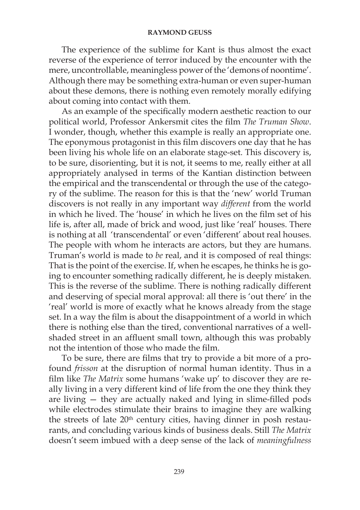The experience of the sublime for Kant is thus almost the exact reverse of the experience of terror induced by the encounter with the mere, uncontrollable, meaningless power of the 'demons of noontime'. Although there may be something extra-human or even super-human about these demons, there is nothing even remotely morally edifying about coming into contact with them.

As an example of the specifically modern aesthetic reaction to our political world, Professor Ankersmit cites the film *The Truman Show*. I wonder, though, whether this example is really an appropriate one. The eponymous protagonist in this film discovers one day that he has been living his whole life on an elaborate stage-set. This discovery is, to be sure, disorienting, but it is not, it seems to me, really either at all appropriately analysed in terms of the Kantian distinction between the empirical and the transcendental or through the use of the category of the sublime. The reason for this is that the 'new' world Truman discovers is not really in any important way *different* from the world in which he lived. The 'house' in which he lives on the film set of his life is, after all, made of brick and wood, just like 'real' houses. There is nothing at all 'transcendental' or even 'different' about real houses. The people with whom he interacts are actors, but they are humans. Truman's world is made to *be* real, and it is composed of real things: That is the point of the exercise. If, when he escapes, he thinks he is going to encounter something radically different, he is deeply mistaken. This is the reverse of the sublime. There is nothing radically different and deserving of special moral approval: all there is 'out there' in the 'real' world is more of exactly what he knows already from the stage set. In a way the film is about the disappointment of a world in which there is nothing else than the tired, conventional narratives of a wellshaded street in an affluent small town, although this was probably not the intention of those who made the film.

To be sure, there are films that try to provide a bit more of a profound *frisson* at the disruption of normal human identity. Thus in a film like *The Matrix* some humans 'wake up' to discover they are really living in a very different kind of life from the one they think they are living — they are actually naked and lying in slime-filled pods while electrodes stimulate their brains to imagine they are walking the streets of late 20<sup>th</sup> century cities, having dinner in posh restaurants, and concluding various kinds of business deals. Still *The Matrix*  doesn't seem imbued with a deep sense of the lack of *meaningfulness*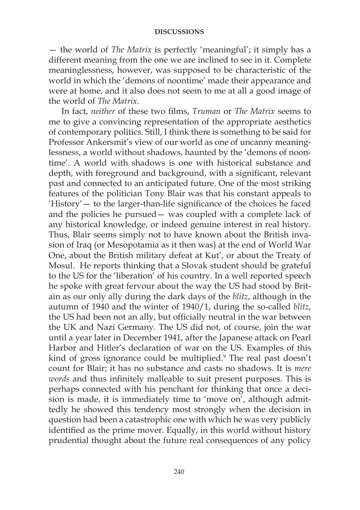— the world of *The Matrix* is perfectly 'meaningful'; it simply has a different meaning from the one we are inclined to see in it. Complete meaninglessness, however, was supposed to be characteristic of the world in which the 'demons of noontime' made their appearance and were at home, and it also does not seem to me at all a good image of the world of *The Matrix*.

In fact, *neither* of these two films, *Truman* or *The Matrix* seems to me to give a convincing representation of the appropriate aesthetics of contemporary politics. Still, I think there is something to be said for Professor Ankersmit's view of our world as one of uncanny meaninglessness, a world without shadows, haunted by the 'demons of noontime'. A world with shadows is one with historical substance and depth, with foreground and background, with a significant, relevant past and connected to an anticipated future. One of the most striking features of the politician Tony Blair was that his constant appeals to 'History'— to the larger-than-life significance of the choices he faced and the policies he pursued— was coupled with a complete lack of any historical knowledge, or indeed genuine interest in real history. Thus, Blair seems simply not to have known about the British invasion of Iraq (or Mesopotamia as it then was) at the end of World War One, about the British military defeat at Kut', or about the Treaty of Mosul. He reports thinking that a Slovak student should be grateful to the US for the 'liberation' of his country. In a well reported speech he spoke with great fervour about the way the US had stood by Britain as our only ally during the dark days of the *blitz*, although in the autumn of 1940 and the winter of 1940/1, during the so-called *blitz*, the US had been not an ally, but officially neutral in the war between the UK and Nazi Germany. The US did not, of course, join the war until a year later in December 1941, after the Japanese attack on Pearl Harbor and Hitler's declaration of war on the US. Examples of this kind of gross ignorance could be multiplied.<sup>9</sup> The real past doesn't count for Blair; it has no substance and casts no shadows. It is *mere words* and thus infinitely malleable to suit present purposes. This is perhaps connected with his penchant for thinking that once a decision is made, it is immediately time to 'move on', although admittedly he showed this tendency most strongly when the decision in question had been a catastrophic one with which he was very publicly identified as the prime mover. Equally, in this world without history prudential thought about the future real consequences of any policy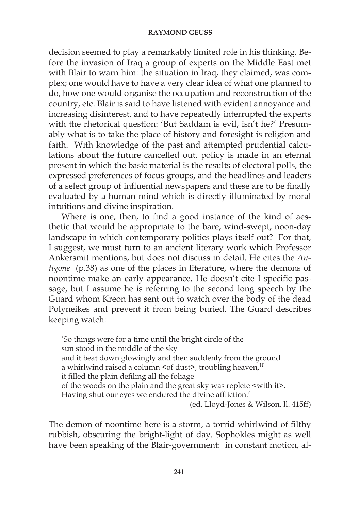decision seemed to play a remarkably limited role in his thinking. Before the invasion of Iraq a group of experts on the Middle East met with Blair to warn him: the situation in Iraq, they claimed, was complex; one would have to have a very clear idea of what one planned to do, how one would organise the occupation and reconstruction of the country, etc. Blair is said to have listened with evident annoyance and increasing disinterest, and to have repeatedly interrupted the experts with the rhetorical question: 'But Saddam is evil, isn't he?' Presumably what is to take the place of history and foresight is religion and faith. With knowledge of the past and attempted prudential calculations about the future cancelled out, policy is made in an eternal present in which the basic material is the results of electoral polls, the expressed preferences of focus groups, and the headlines and leaders of a select group of influential newspapers and these are to be finally evaluated by a human mind which is directly illuminated by moral intuitions and divine inspiration.

Where is one, then, to find a good instance of the kind of aesthetic that would be appropriate to the bare, wind-swept, noon-day landscape in which contemporary politics plays itself out? For that, I suggest, we must turn to an ancient literary work which Professor Ankersmit mentions, but does not discuss in detail. He cites the *Antigone* (p.38) as one of the places in literature, where the demons of noontime make an early appearance. He doesn't cite I specific passage, but I assume he is referring to the second long speech by the Guard whom Kreon has sent out to watch over the body of the dead Polyneikes and prevent it from being buried. The Guard describes keeping watch:

'So things were for a time until the bright circle of the sun stood in the middle of the sky and it beat down glowingly and then suddenly from the ground a whirlwind raised a column  $\leq$  dust  $>$ , troubling heaven,<sup>10</sup> it filled the plain defiling all the foliage of the woods on the plain and the great sky was replete <with it>. Having shut our eyes we endured the divine affliction.' (ed. Lloyd-Jones & Wilson, ll. 415ff)

The demon of noontime here is a storm, a torrid whirlwind of filthy rubbish, obscuring the bright-light of day. Sophokles might as well have been speaking of the Blair-government: in constant motion, al-